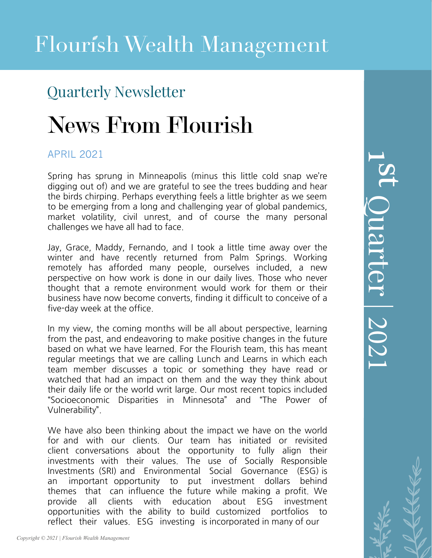### Quarterly Newsletter

# News From Flourish

### APRIL 2021

Spring has sprung in Minneapolis (minus this little cold snap we're digging out of) and we are grateful to see the trees budding and hear the birds chirping. Perhaps everything feels a little brighter as we seem to be emerging from a long and challenging year of global pandemics, market volatility, civil unrest, and of course the many personal challenges we have all had to face.

Jay, Grace, Maddy, Fernando, and I took a little time away over the winter and have recently returned from Palm Springs. Working remotely has afforded many people, ourselves included, a new perspective on how work is done in our daily lives. Those who never thought that a remote environment would work for them or their business have now become converts, finding it difficult to conceive of a five-day week at the office.

In my view, the coming months will be all about perspective, learning from the past, and endeavoring to make positive changes in the future based on what we have learned. For the Flourish team, this has meant regular meetings that we are calling Lunch and Learns in which each team member discusses a topic or something they have read or watched that had an impact on them and the way they think about their daily life or the world writ large. Our most recent topics included "Socioeconomic Disparities in Minnesota" and "The Power of Vulnerability".

We have also been thinking about the impact we have on the world for and with our clients. Our team has initiated or revisited client conversations about the opportunity to fully align their investments with their values. The use of Socially Responsible Investments (SRI) and Environmental Social Governance (ESG) is an important opportunity to put investment dollars behind themes that can influence the future while making a profit. We provide all clients with education about ESG investment opportunities with the ability to build customized portfolios to reflect their values. ESG investing is incorporated in many of our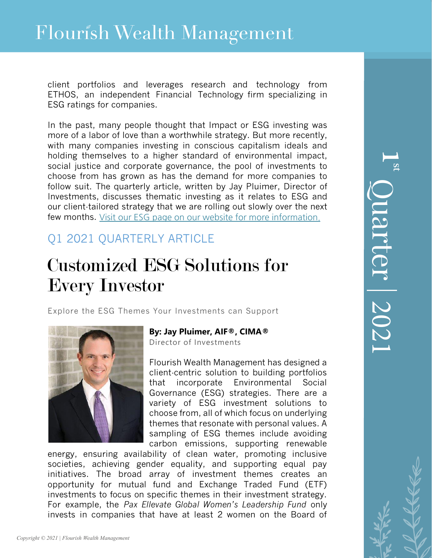client portfolios and leverages research and technology from ETHOS, an independent Financial Technology firm specializing in ESG ratings for companies.

In the past, many people thought that Impact or ESG investing was more of a labor of love than a worthwhile strategy. But more recently, with many companies investing in conscious capitalism ideals and holding themselves to a higher standard of environmental impact, social justice and corporate governance, the pool of investments to choose from has grown as has the demand for more companies to follow suit. The quarterly article, written by Jay Pluimer, Director of Investments, discusses thematic investing as it relates to ESG and our client-tailored strategy that we are rolling out slowly over the next few months. [Visit our ESG page on our website for more information.](https://www.flourishwealthmanagement.com/services/esg-investing)

### Q1 2021 QUARTERLY ARTICLE

## Customized ESG Solutions for Every Investor

Explore the ESG Themes Your Investments can Support



### **By: Jay Pluimer, AIF®, CIMA®**

Director of Investments

Flourish Wealth Management has designed a client-centric solution to building portfolios that incorporate Environmental Social Governance (ESG) strategies. There are a variety of ESG investment solutions to choose from, all of which focus on underlying themes that resonate with personal values. A sampling of ESG themes include avoiding carbon emissions, supporting renewable

energy, ensuring availability of clean water, promoting inclusive societies, achieving gender equality, and supporting equal pay initiatives. The broad array of investment themes creates an opportunity for mutual fund and Exchange Traded Fund (ETF) investments to focus on specific themes in their investment strategy. For example, the *Pax Ellevate Global Women's Leadership Fund* only invests in companies that have at least 2 women on the Board of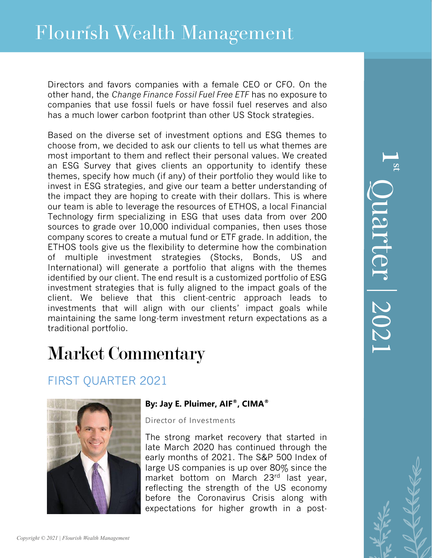## Flourish Wealth Management

Directors and favors companies with a female CEO or CFO. On the other hand, the *Change Finance Fossil Fuel Free ETF* has no exposure to companies that use fossil fuels or have fossil fuel reserves and also has a much lower carbon footprint than other US Stock strategies.

Based on the diverse set of investment options and ESG themes to choose from, we decided to ask our clients to tell us what themes are most important to them and reflect their personal values. We created an ESG Survey that gives clients an opportunity to identify these themes, specify how much (if any) of their portfolio they would like to invest in ESG strategies, and give our team a better understanding of the impact they are hoping to create with their dollars. This is where our team is able to leverage the resources of ETHOS, a local Financial Technology firm specializing in ESG that uses data from over 200 sources to grade over 10,000 individual companies, then uses those company scores to create a mutual fund or ETF grade. In addition, the ETHOS tools give us the flexibility to determine how the combination of multiple investment strategies (Stocks, Bonds, US and International) will generate a portfolio that aligns with the themes identified by our client. The end result is a customized portfolio of ESG investment strategies that is fully aligned to the impact goals of the client. We believe that this client-centric approach leads to investments that will align with our clients' impact goals while maintaining the same long-term investment return expectations as a traditional portfolio.

## Market Commentary

### FIRST QUARTER 2021



#### **By: Jay E. Pluimer, AIF®, CIMA®**

Director of Investments

The strong market recovery that started in late March 2020 has continued through the early months of 2021. The S&P 500 Index of large US companies is up over 80% since the market bottom on March 23rd last year, reflecting the strength of the US economy before the Coronavirus Crisis along with expectations for higher growth in a post-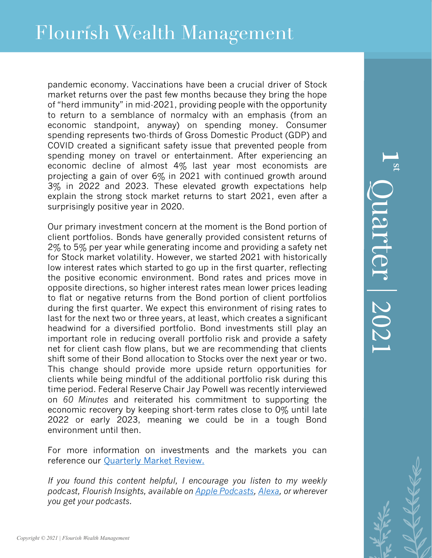pandemic economy. Vaccinations have been a crucial driver of Stock market returns over the past few months because they bring the hope of "herd immunity" in mid-2021, providing people with the opportunity to return to a semblance of normalcy with an emphasis (from an economic standpoint, anyway) on spending money. Consumer spending represents two-thirds of Gross Domestic Product (GDP) and COVID created a significant safety issue that prevented people from spending money on travel or entertainment. After experiencing an economic decline of almost 4% last year most economists are projecting a gain of over 6% in 2021 with continued growth around 3% in 2022 and 2023. These elevated growth expectations help explain the strong stock market returns to start 2021, even after a surprisingly positive year in 2020.

Our primary investment concern at the moment is the Bond portion of client portfolios. Bonds have generally provided consistent returns of 2% to 5% per year while generating income and providing a safety net for Stock market volatility. However, we started 2021 with historically low interest rates which started to go up in the first quarter, reflecting the positive economic environment. Bond rates and prices move in opposite directions, so higher interest rates mean lower prices leading to flat or negative returns from the Bond portion of client portfolios during the first quarter. We expect this environment of rising rates to last for the next two or three years, at least, which creates a significant headwind for a diversified portfolio. Bond investments still play an important role in reducing overall portfolio risk and provide a safety net for client cash flow plans, but we are recommending that clients shift some of their Bond allocation to Stocks over the next year or two. This change should provide more upside return opportunities for clients while being mindful of the additional portfolio risk during this time period. Federal Reserve Chair Jay Powell was recently interviewed on *60 Minutes* and reiterated his commitment to supporting the economic recovery by keeping short-term rates close to 0% until late 2022 or early 2023, meaning we could be in a tough Bond environment until then.

For more information on investments and the markets you can reference our [Quarterly Market Review.](https://www.flourishwealthmanagement.com/images/PDF/QNL/2021/Q1-2021/2021-QMR-Q1-Flourish.pdf)

*If you found this content helpful, I encourage you listen to my weekly podcast, Flourish Insights, available o[n Apple Podcasts,](https://podcasts.apple.com/us/podcast/flourish-insights/id1525765007) [Alexa,](https://www.amazon.com/gp/product/B08F7FZY1C?ref&ref=cm_sw_em_r_as_dp_jjVFlAelbxOmm) or wherever you get your podcasts.*